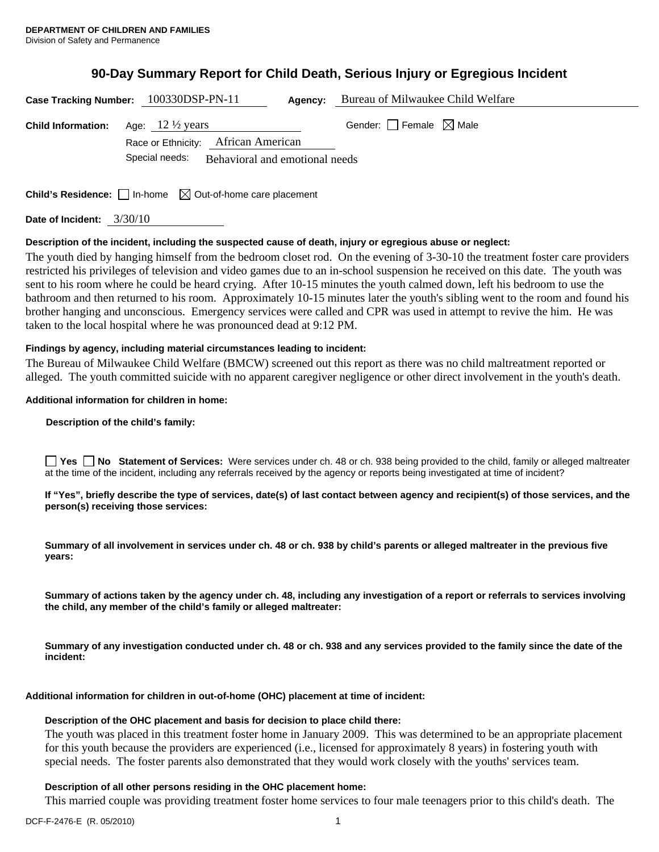# **90-Day Summary Report for Child Death, Serious Injury or Egregious Incident**

|                             | Case Tracking Number: 100330DSP-PN-11                                           | Bureau of Milwaukee Child Welfare<br>Agency: |  |
|-----------------------------|---------------------------------------------------------------------------------|----------------------------------------------|--|
| <b>Child Information:</b>   | Age: $12\frac{1}{2}$ years<br>Race or Ethnicity: African American               | Gender: $\Box$ Female $\boxtimes$ Male       |  |
|                             | Special needs:<br>Behavioral and emotional needs                                |                                              |  |
|                             |                                                                                 |                                              |  |
|                             | <b>Child's Residence:</b> $\Box$ In-home $\boxtimes$ Out-of-home care placement |                                              |  |
| Date of Incident: $3/30/10$ |                                                                                 |                                              |  |

# **Description of the incident, including the suspected cause of death, injury or egregious abuse or neglect:**

The youth died by hanging himself from the bedroom closet rod. On the evening of 3-30-10 the treatment foster care providers restricted his privileges of television and video games due to an in-school suspension he received on this date. The youth was sent to his room where he could be heard crying. After 10-15 minutes the youth calmed down, left his bedroom to use the bathroom and then returned to his room. Approximately 10-15 minutes later the youth's sibling went to the room and found his brother hanging and unconscious. Emergency services were called and CPR was used in attempt to revive the him. He was taken to the local hospital where he was pronounced dead at 9:12 PM.

# **Findings by agency, including material circumstances leading to incident:**

The Bureau of Milwaukee Child Welfare (BMCW) screened out this report as there was no child maltreatment reported or alleged. The youth committed suicide with no apparent caregiver negligence or other direct involvement in the youth's death.

# **Additional information for children in home:**

#### **Description of the child's family:**

**Yes No** Statement of Services: Were services under ch. 48 or ch. 938 being provided to the child, family or alleged maltreater at the time of the incident, including any referrals received by the agency or reports being investigated at time of incident?

**If "Yes", briefly describe the type of services, date(s) of last contact between agency and recipient(s) of those services, and the person(s) receiving those services:** 

**Summary of all involvement in services under ch. 48 or ch. 938 by child's parents or alleged maltreater in the previous five years:** 

**Summary of actions taken by the agency under ch. 48, including any investigation of a report or referrals to services involving the child, any member of the child's family or alleged maltreater:** 

**Summary of any investigation conducted under ch. 48 or ch. 938 and any services provided to the family since the date of the incident:** 

# **Additional information for children in out-of-home (OHC) placement at time of incident:**

#### **Description of the OHC placement and basis for decision to place child there:**

The youth was placed in this treatment foster home in January 2009. This was determined to be an appropriate placement for this youth because the providers are experienced (i.e., licensed for approximately 8 years) in fostering youth with special needs. The foster parents also demonstrated that they would work closely with the youths' services team.

# **Description of all other persons residing in the OHC placement home:**

This married couple was providing treatment foster home services to four male teenagers prior to this child's death. The